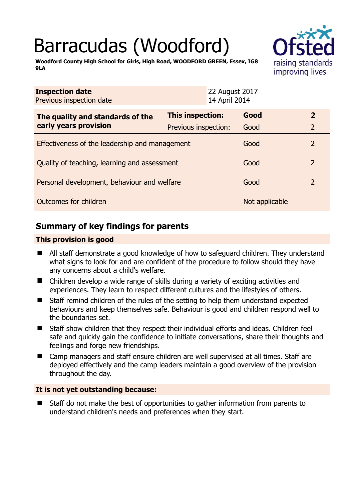# Barracudas (Woodford)



**Woodford County High School for Girls, High Road, WOODFORD GREEN, Essex, IG8 9LA** 

| <b>Inspection date</b><br>Previous inspection date        | 22 August 2017<br>14 April 2014 |                |                |
|-----------------------------------------------------------|---------------------------------|----------------|----------------|
| The quality and standards of the<br>early years provision | This inspection:                | Good           | $\overline{2}$ |
|                                                           | Previous inspection:            | Good           | $\overline{2}$ |
| Effectiveness of the leadership and management            |                                 | Good           | 2              |
| Quality of teaching, learning and assessment              |                                 | Good           | $\overline{2}$ |
| Personal development, behaviour and welfare               |                                 | Good           | 2              |
| Outcomes for children                                     |                                 | Not applicable |                |

# **Summary of key findings for parents**

## **This provision is good**

- All staff demonstrate a good knowledge of how to safeguard children. They understand what signs to look for and are confident of the procedure to follow should they have any concerns about a child's welfare.
- Children develop a wide range of skills during a variety of exciting activities and experiences. They learn to respect different cultures and the lifestyles of others.
- Staff remind children of the rules of the setting to help them understand expected behaviours and keep themselves safe. Behaviour is good and children respond well to the boundaries set.
- Staff show children that they respect their individual efforts and ideas. Children feel safe and quickly gain the confidence to initiate conversations, share their thoughts and feelings and forge new friendships.
- Camp managers and staff ensure children are well supervised at all times. Staff are deployed effectively and the camp leaders maintain a good overview of the provision throughout the day.

## **It is not yet outstanding because:**

 Staff do not make the best of opportunities to gather information from parents to understand children's needs and preferences when they start.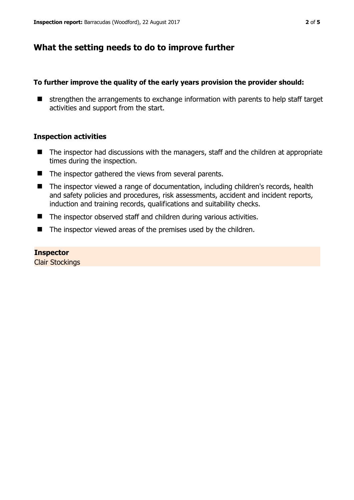# **What the setting needs to do to improve further**

#### **To further improve the quality of the early years provision the provider should:**

 $\blacksquare$  strengthen the arrangements to exchange information with parents to help staff target activities and support from the start.

#### **Inspection activities**

- The inspector had discussions with the managers, staff and the children at appropriate times during the inspection.
- The inspector gathered the views from several parents.
- The inspector viewed a range of documentation, including children's records, health and safety policies and procedures, risk assessments, accident and incident reports, induction and training records, qualifications and suitability checks.
- The inspector observed staff and children during various activities.
- The inspector viewed areas of the premises used by the children.

#### **Inspector**

Clair Stockings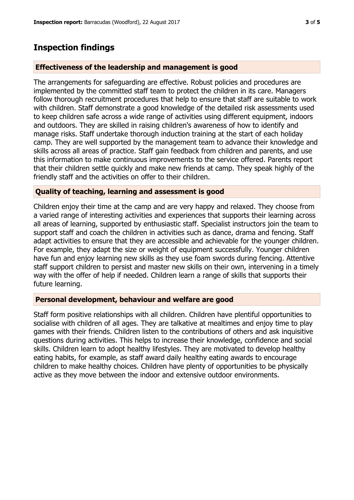# **Inspection findings**

## **Effectiveness of the leadership and management is good**

The arrangements for safeguarding are effective. Robust policies and procedures are implemented by the committed staff team to protect the children in its care. Managers follow thorough recruitment procedures that help to ensure that staff are suitable to work with children. Staff demonstrate a good knowledge of the detailed risk assessments used to keep children safe across a wide range of activities using different equipment, indoors and outdoors. They are skilled in raising children's awareness of how to identify and manage risks. Staff undertake thorough induction training at the start of each holiday camp. They are well supported by the management team to advance their knowledge and skills across all areas of practice. Staff gain feedback from children and parents, and use this information to make continuous improvements to the service offered. Parents report that their children settle quickly and make new friends at camp. They speak highly of the friendly staff and the activities on offer to their children.

## **Quality of teaching, learning and assessment is good**

Children enjoy their time at the camp and are very happy and relaxed. They choose from a varied range of interesting activities and experiences that supports their learning across all areas of learning, supported by enthusiastic staff. Specialist instructors join the team to support staff and coach the children in activities such as dance, drama and fencing. Staff adapt activities to ensure that they are accessible and achievable for the younger children. For example, they adapt the size or weight of equipment successfully. Younger children have fun and enjoy learning new skills as they use foam swords during fencing. Attentive staff support children to persist and master new skills on their own, intervening in a timely way with the offer of help if needed. Children learn a range of skills that supports their future learning.

## **Personal development, behaviour and welfare are good**

Staff form positive relationships with all children. Children have plentiful opportunities to socialise with children of all ages. They are talkative at mealtimes and enjoy time to play games with their friends. Children listen to the contributions of others and ask inquisitive questions during activities. This helps to increase their knowledge, confidence and social skills. Children learn to adopt healthy lifestyles. They are motivated to develop healthy eating habits, for example, as staff award daily healthy eating awards to encourage children to make healthy choices. Children have plenty of opportunities to be physically active as they move between the indoor and extensive outdoor environments.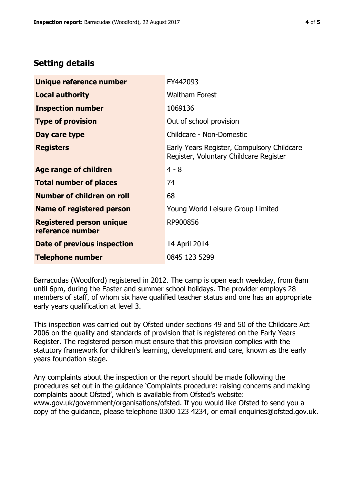# **Setting details**

| Unique reference number                             | EY442093                                                                             |  |
|-----------------------------------------------------|--------------------------------------------------------------------------------------|--|
| <b>Local authority</b>                              | <b>Waltham Forest</b>                                                                |  |
| <b>Inspection number</b>                            | 1069136                                                                              |  |
| <b>Type of provision</b>                            | Out of school provision                                                              |  |
| Day care type                                       | Childcare - Non-Domestic                                                             |  |
| <b>Registers</b>                                    | Early Years Register, Compulsory Childcare<br>Register, Voluntary Childcare Register |  |
| Age range of children                               | $4 - 8$                                                                              |  |
| <b>Total number of places</b>                       | 74                                                                                   |  |
| Number of children on roll                          | 68                                                                                   |  |
| Name of registered person                           | Young World Leisure Group Limited                                                    |  |
| <b>Registered person unique</b><br>reference number | RP900856                                                                             |  |
| Date of previous inspection                         | 14 April 2014                                                                        |  |
| <b>Telephone number</b>                             | 0845 123 5299                                                                        |  |

Barracudas (Woodford) registered in 2012. The camp is open each weekday, from 8am until 6pm, during the Easter and summer school holidays. The provider employs 28 members of staff, of whom six have qualified teacher status and one has an appropriate early years qualification at level 3.

This inspection was carried out by Ofsted under sections 49 and 50 of the Childcare Act 2006 on the quality and standards of provision that is registered on the Early Years Register. The registered person must ensure that this provision complies with the statutory framework for children's learning, development and care, known as the early years foundation stage.

Any complaints about the inspection or the report should be made following the procedures set out in the guidance 'Complaints procedure: raising concerns and making complaints about Ofsted', which is available from Ofsted's website: www.gov.uk/government/organisations/ofsted. If you would like Ofsted to send you a copy of the guidance, please telephone 0300 123 4234, or email enquiries@ofsted.gov.uk.